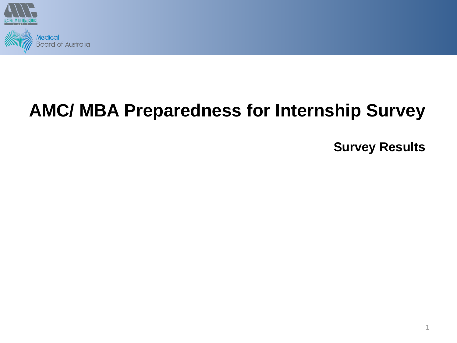

# **AMC/ MBA Preparedness for Internship Survey**

**Survey Results**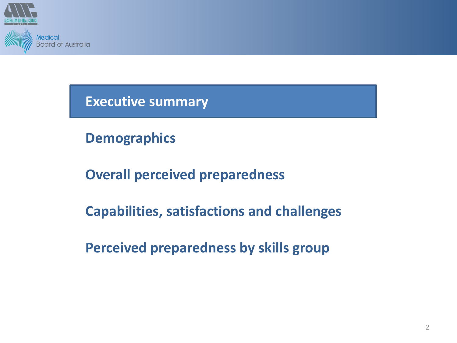

**Demographics**

**Overall perceived preparedness**

**Capabilities, satisfactions and challenges**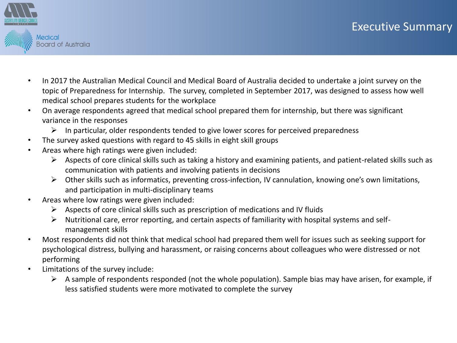

- In 2017 the Australian Medical Council and Medical Board of Australia decided to undertake a joint survey on the topic of Preparedness for Internship. The survey, completed in September 2017, was designed to assess how well medical school prepares students for the workplace
- On average respondents agreed that medical school prepared them for internship, but there was significant variance in the responses
	- $\triangleright$  In particular, older respondents tended to give lower scores for perceived preparedness
- The survey asked questions with regard to 45 skills in eight skill groups
- Areas where high ratings were given included:
	- $\triangleright$  Aspects of core clinical skills such as taking a history and examining patients, and patient-related skills such as communication with patients and involving patients in decisions
	- ➢ Other skills such as informatics, preventing cross-infection, IV cannulation, knowing one's own limitations, and participation in multi-disciplinary teams
- Areas where low ratings were given included:
	- $\triangleright$  Aspects of core clinical skills such as prescription of medications and IV fluids
	- ➢ Nutritional care, error reporting, and certain aspects of familiarity with hospital systems and selfmanagement skills
- Most respondents did not think that medical school had prepared them well for issues such as seeking support for psychological distress, bullying and harassment, or raising concerns about colleagues who were distressed or not performing
- Limitations of the survey include:
	- $\triangleright$  A sample of respondents responded (not the whole population). Sample bias may have arisen, for example, if less satisfied students were more motivated to complete the survey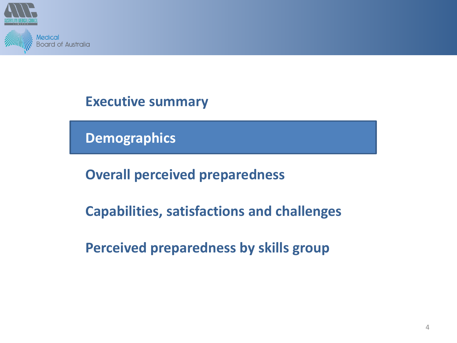

**Demographics**

**Overall perceived preparedness**

**Capabilities, satisfactions and challenges**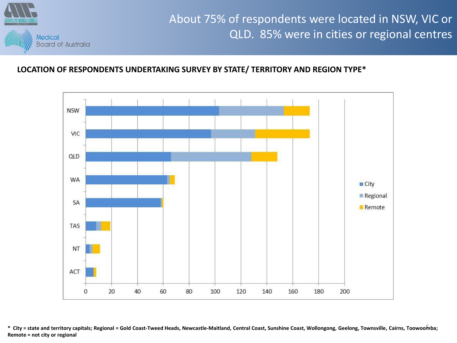

## About 75% of respondents were located in NSW, VIC or QLD. 85% were in cities or regional centres

### **LOCATION OF RESPONDENTS UNDERTAKING SURVEY BY STATE/ TERRITORY AND REGION TYPE\***



\* City = state and territory capitals; Regional = Gold Coast-Tweed Heads, Newcastle-Maitland, Central Coast, Sunshine Coast, Wollongong, Geelong, Townsville, Cairns, Toowoomba; **Remote = not city or regional**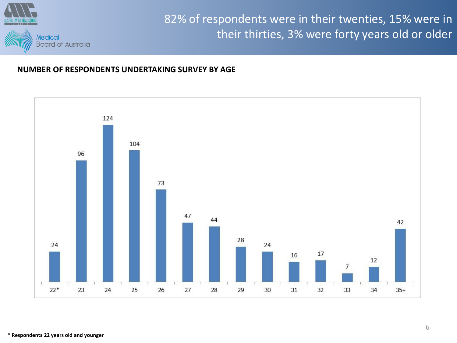

## 82% of respondents were in their twenties, 15% were in their thirties, 3% were forty years old or older

#### **NUMBER OF RESPONDENTS UNDERTAKING SURVEY BY AGE**

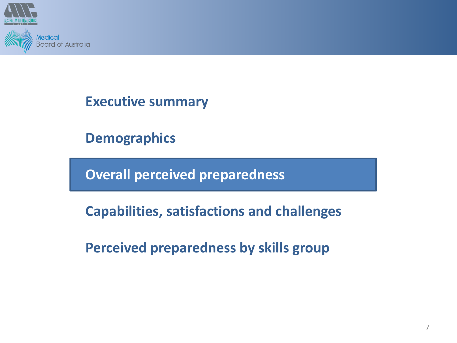

**Demographics**

**Overall perceived preparedness**

**Capabilities, satisfactions and challenges**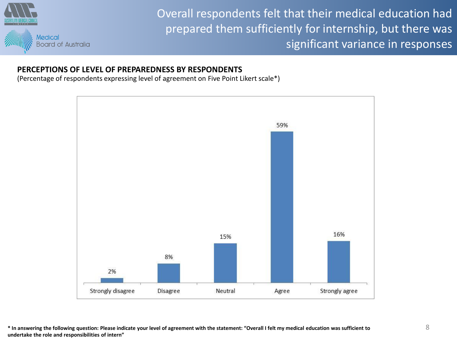

Overall respondents felt that their medical education had prepared them sufficiently for internship, but there was significant variance in responses

#### **PERCEPTIONS OF LEVEL OF PREPAREDNESS BY RESPONDENTS**

(Percentage of respondents expressing level of agreement on Five Point Likert scale\*)



**\* In answering the following question: Please indicate your level of agreement with the statement: "Overall I felt my medical education was sufficient to undertake the role and responsibilities of intern"**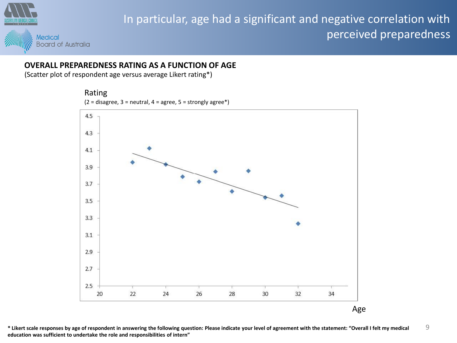

## In particular, age had a significant and negative correlation with perceived preparedness

### **OVERALL PREPAREDNESS RATING AS A FUNCTION OF AGE**

(Scatter plot of respondent age versus average Likert rating\*)



**\* Likert scale responses by age of respondent in answering the following question: Please indicate your level of agreement with the statement: "Overall I felt my medical education was sufficient to undertake the role and responsibilities of intern"** 9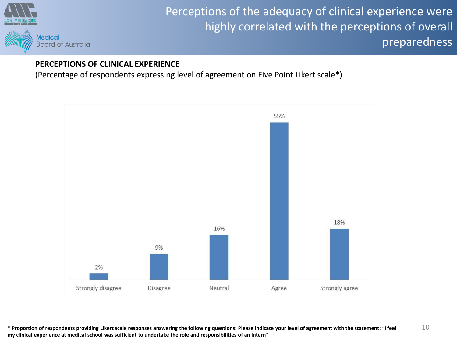

## Perceptions of the adequacy of clinical experience were highly correlated with the perceptions of overall preparedness

### **PERCEPTIONS OF CLINICAL EXPERIENCE**

(Percentage of respondents expressing level of agreement on Five Point Likert scale\*)



**\* Proportion of respondents providing Likert scale responses answering the following questions: Please indicate your level of agreement with the statement: "I feel my clinical experience at medical school was sufficient to undertake the role and responsibilities of an intern"** 10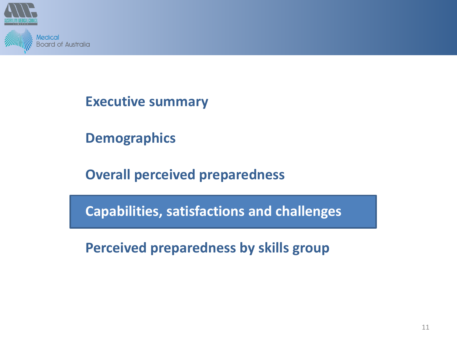

**Demographics**

**Overall perceived preparedness**

**Capabilities, satisfactions and challenges**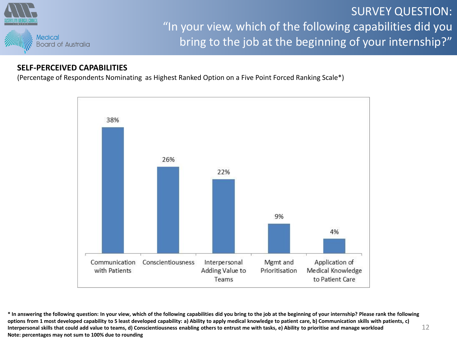

## SURVEY QUESTION: "In your view, which of the following capabilities did you bring to the job at the beginning of your internship?"

### **SELF-PERCEIVED CAPABILITIES**

(Percentage of Respondents Nominating as Highest Ranked Option on a Five Point Forced Ranking Scale\*)



**\* In answering the following question: In your view, which of the following capabilities did you bring to the job at the beginning of your internship? Please rank the following options from 1 most developed capability to 5 least developed capability: a) Ability to apply medical knowledge to patient care, b) Communication skills with patients, c) Interpersonal skills that could add value to teams, d) Conscientiousness enabling others to entrust me with tasks, e) Ability to prioritise and manage workload Note: percentages may not sum to 100% due to rounding** 12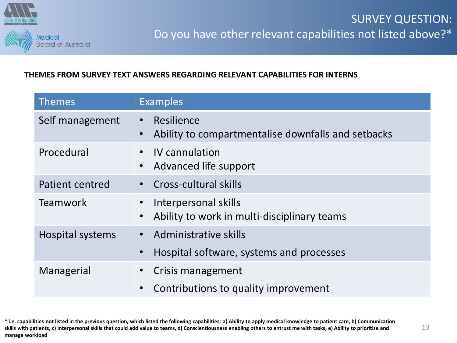

### **THEMES FROM SURVEY TEXT ANSWERS REGARDING RELEVANT CAPABILITIES FOR INTERNS**

| <b>Themes</b>           | <b>Examples</b>                                                                            |
|-------------------------|--------------------------------------------------------------------------------------------|
| Self management         | Resilience<br>$\bullet$<br>Ability to compartmentalise downfalls and setbacks<br>$\bullet$ |
| Procedural              | IV cannulation<br>Advanced life support<br>$\bullet$                                       |
| Patient centred         | Cross-cultural skills                                                                      |
| <b>Teamwork</b>         | Interpersonal skills<br>Ability to work in multi-disciplinary teams<br>$\bullet$           |
| <b>Hospital systems</b> | Administrative skills                                                                      |
|                         | Hospital software, systems and processes                                                   |
| Managerial              | Crisis management                                                                          |
|                         | Contributions to quality improvement                                                       |

**\* i.e. capabilities not listed in the previous question, which listed the following capabilities: a) Ability to apply medical knowledge to patient care, b) Communication skills with patients, c) Interpersonal skills that could add value to teams, d) Conscientiousness enabling others to entrust me with tasks, e) Ability to prioritise and manage workload**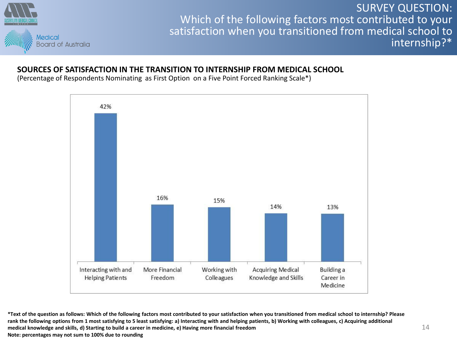

SURVEY QUESTION: Which of the following factors most contributed to your satisfaction when you transitioned from medical school to internship?\*

#### **SOURCES OF SATISFACTION IN THE TRANSITION TO INTERNSHIP FROM MEDICAL SCHOOL**

(Percentage of Respondents Nominating as First Option on a Five Point Forced Ranking Scale\*)



**\*Text of the question as follows: Which of the following factors most contributed to your satisfaction when you transitioned from medical school to internship? Please**  rank the following options from 1 most satisfying to 5 least satisfying: a) Interacting with and helping patients, b) Working with colleagues, c) Acquiring additional **medical knowledge and skills, d) Starting to build a career in medicine, e) Having more financial freedom Note: percentages may not sum to 100% due to rounding**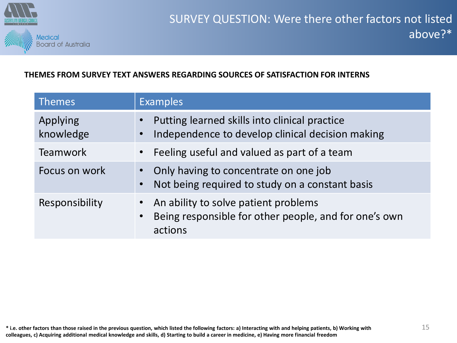

### **THEMES FROM SURVEY TEXT ANSWERS REGARDING SOURCES OF SATISFACTION FOR INTERNS**

| <b>Themes</b>         | <b>Examples</b>                                                                                                       |
|-----------------------|-----------------------------------------------------------------------------------------------------------------------|
| Applying<br>knowledge | Putting learned skills into clinical practice<br>Independence to develop clinical decision making                     |
| <b>Teamwork</b>       | Feeling useful and valued as part of a team                                                                           |
| Focus on work         | Only having to concentrate on one job<br>Not being required to study on a constant basis                              |
| Responsibility        | An ability to solve patient problems<br>Being responsible for other people, and for one's own<br>$\bullet$<br>actions |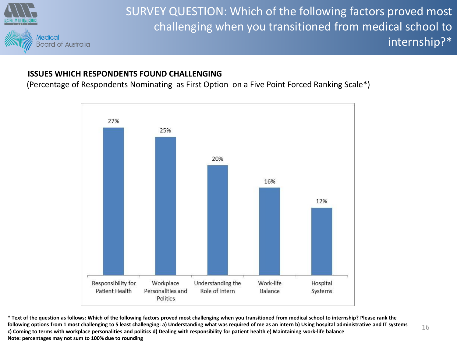

SURVEY QUESTION: Which of the following factors proved most challenging when you transitioned from medical school to internship?\*

### **ISSUES WHICH RESPONDENTS FOUND CHALLENGING**

(Percentage of Respondents Nominating as First Option on a Five Point Forced Ranking Scale\*)



**\* Text of the question as follows: Which of the following factors proved most challenging when you transitioned from medical school to internship? Please rank the following options from 1 most challenging to 5 least challenging: a) Understanding what was required of me as an intern b) Using hospital administrative and IT systems c) Coming to terms with workplace personalities and politics d) Dealing with responsibility for patient health e) Maintaining work-life balance Note: percentages may not sum to 100% due to rounding**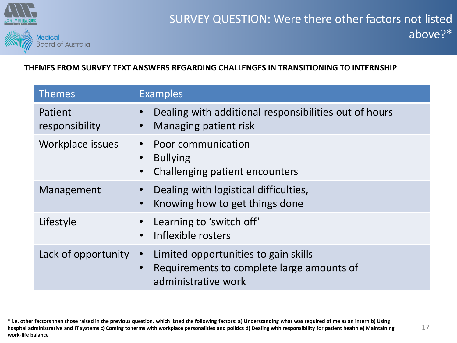

### **THEMES FROM SURVEY TEXT ANSWERS REGARDING CHALLENGES IN TRANSITIONING TO INTERNSHIP**

| <b>Themes</b>             | <b>Examples</b>                                                                                                                    |
|---------------------------|------------------------------------------------------------------------------------------------------------------------------------|
| Patient<br>responsibility | Dealing with additional responsibilities out of hours<br>Managing patient risk                                                     |
| Workplace issues          | Poor communication<br>$\bullet$<br><b>Bullying</b><br>$\bullet$<br>Challenging patient encounters<br>$\bullet$                     |
| Management                | Dealing with logistical difficulties,<br>$\bullet$<br>Knowing how to get things done<br>$\bullet$                                  |
| Lifestyle                 | Learning to 'switch off'<br>Inflexible rosters<br>$\bullet$                                                                        |
| Lack of opportunity       | Limited opportunities to gain skills<br>$\bullet$<br>Requirements to complete large amounts of<br>$\bullet$<br>administrative work |

**\* i.e. other factors than those raised in the previous question, which listed the following factors: a) Understanding what was required of me as an intern b) Using hospital administrative and IT systems c) Coming to terms with workplace personalities and politics d) Dealing with responsibility for patient health e) Maintaining work-life balance**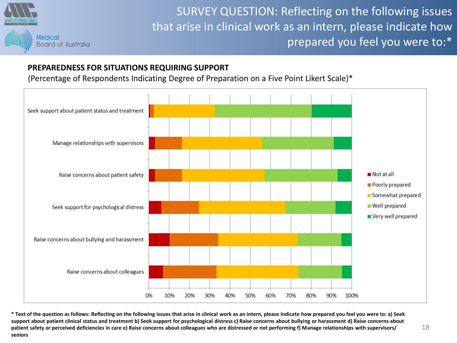

SURVEY QUESTION: Reflecting on the following issues that arise in clinical work as an intern, please indicate how prepared you feel you were to:\*

### **PREPAREDNESS FOR SITUATIONS REQUIRING SUPPORT**

(Percentage of Respondents Indicating Degree of Preparation on a Five Point Likert Scale)\*



**\* Text of the question as follows: Reflecting on the following issues that arise in clinical work as an intern, please indicate how prepared you feel you were to: a) Seek**  support about patient clinical status and treatment b) Seek support for psychological distress c) Raise concerns about bullying or harassment d) Raise concerns about **patient safety or perceived deficiencies in care e) Raise concerns about colleagues who are distressed or not performing f) Manage relationships with supervisors/ seniors**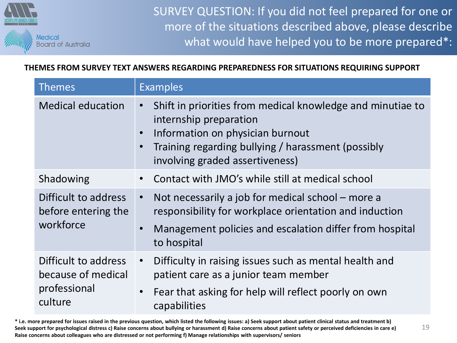

SURVEY QUESTION: If you did not feel prepared for one or more of the situations described above, please describe what would have helped you to be more prepared\*:

**THEMES FROM SURVEY TEXT ANSWERS REGARDING PREPAREDNESS FOR SITUATIONS REQUIRING SUPPORT**

| <b>Themes</b>                                                         | <b>Examples</b>                                                                                                                                                                                                                                          |
|-----------------------------------------------------------------------|----------------------------------------------------------------------------------------------------------------------------------------------------------------------------------------------------------------------------------------------------------|
| <b>Medical education</b>                                              | Shift in priorities from medical knowledge and minutiae to<br>$\bullet$<br>internship preparation<br>Information on physician burnout<br>$\bullet$<br>Training regarding bullying / harassment (possibly<br>$\bullet$<br>involving graded assertiveness) |
| Shadowing                                                             | Contact with JMO's while still at medical school<br>$\bullet$                                                                                                                                                                                            |
| Difficult to address<br>before entering the<br>workforce              | Not necessarily a job for medical school - more a<br>$\bullet$<br>responsibility for workplace orientation and induction<br>Management policies and escalation differ from hospital<br>$\bullet$<br>to hospital                                          |
| Difficult to address<br>because of medical<br>professional<br>culture | Difficulty in raising issues such as mental health and<br>$\bullet$<br>patient care as a junior team member<br>Fear that asking for help will reflect poorly on own<br>$\bullet$<br>capabilities                                                         |

**\* i.e. more prepared for issues raised in the previous question, which listed the following issues: a) Seek support about patient clinical status and treatment b) Seek support for psychological distress c) Raise concerns about bullying or harassment d) Raise concerns about patient safety or perceived deficiencies in care e) Raise concerns about colleagues who are distressed or not performing f) Manage relationships with supervisors/ seniors**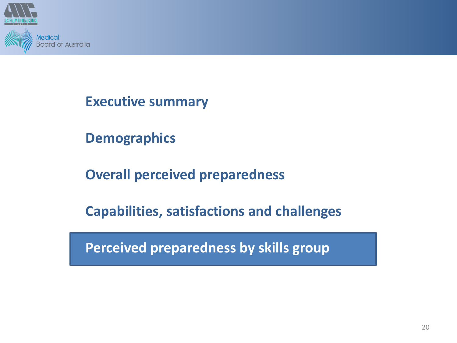

**Demographics**

**Overall perceived preparedness**

**Capabilities, satisfactions and challenges**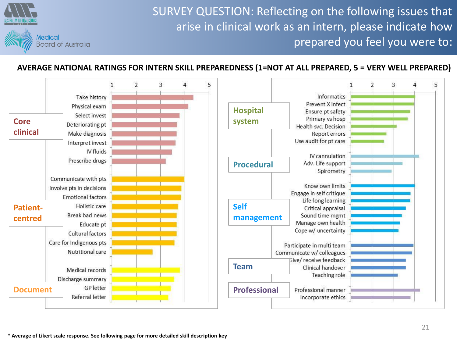SURVEY QUESTION: Reflecting on the following issues that arise in clinical work as an intern, please indicate how prepared you feel you were to:



#### **AVERAGE NATIONAL RATINGS FOR INTERN SKILL PREPAREDNESS (1=NOT AT ALL PREPARED, 5 = VERY WELL PREPARED)**